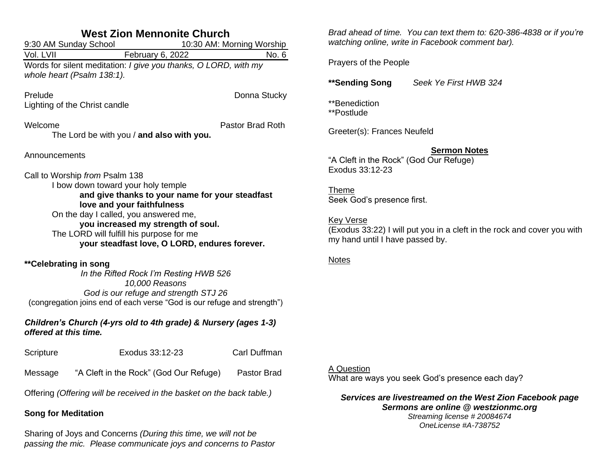| <b>West Zion Mennonite Church</b><br>10:30 AM: Morning Worship                                                                                                                                                                                                                                                                    |                                           |                         |  |  |
|-----------------------------------------------------------------------------------------------------------------------------------------------------------------------------------------------------------------------------------------------------------------------------------------------------------------------------------|-------------------------------------------|-------------------------|--|--|
| 9:30 AM Sunday School<br>Vol. LVII                                                                                                                                                                                                                                                                                                | February 6, 2022                          | No. 6                   |  |  |
| Words for silent meditation: I give you thanks, O LORD, with my<br>whole heart (Psalm 138:1).                                                                                                                                                                                                                                     |                                           |                         |  |  |
| Prelude                                                                                                                                                                                                                                                                                                                           |                                           | Donna Stucky            |  |  |
| Lighting of the Christ candle                                                                                                                                                                                                                                                                                                     |                                           |                         |  |  |
| Welcome                                                                                                                                                                                                                                                                                                                           |                                           | <b>Pastor Brad Roth</b> |  |  |
|                                                                                                                                                                                                                                                                                                                                   | The Lord be with you / and also with you. |                         |  |  |
| Announcements                                                                                                                                                                                                                                                                                                                     |                                           |                         |  |  |
| Call to Worship from Psalm 138<br>I bow down toward your holy temple<br>and give thanks to your name for your steadfast<br>love and your faithfulness<br>On the day I called, you answered me,<br>you increased my strength of soul.<br>The LORD will fulfill his purpose for me<br>your steadfast love, O LORD, endures forever. |                                           |                         |  |  |
| **Celebrating in song<br>In the Rifted Rock I'm Resting HWB 526<br>10,000 Reasons<br>God is our refuge and strength STJ 26<br>(congregation joins end of each verse "God is our refuge and strength")                                                                                                                             |                                           |                         |  |  |
| Children's Church (4-yrs old to 4th grade) & Nursery (ages 1-3)<br>offered at this time.                                                                                                                                                                                                                                          |                                           |                         |  |  |
| Scripture                                                                                                                                                                                                                                                                                                                         | Exodus 33:12-23                           | Carl Duffman            |  |  |

Message "A Cleft in the Rock" (God Our Refuge) Pastor Brad

Offering *(Offering will be received in the basket on the back table.)*

# **Song for Meditation**

Sharing of Joys and Concerns *(During this time, we will not be passing the mic. Please communicate joys and concerns to Pastor*  *Brad ahead of time. You can text them to: 620-386-4838 or if you're watching online, write in Facebook comment bar).*

Prayers of the People

**\*\*Sending Song** *Seek Ye First HWB 324*

\*\*Benediction \*\*Postlude

Greeter(s): Frances Neufeld

### **Sermon Notes**

"A Cleft in the Rock" (God Our Refuge) Exodus 33:12-23

Theme Seek God's presence first.

Key Verse (Exodus 33:22) I will put you in a cleft in the rock and cover you with my hand until I have passed by.

#### Notes

## A Question

What are ways you seek God's presence each day?

### *Services are livestreamed on the West Zion Facebook page Sermons are online @ westzionmc.org*

*Streaming license # 20084674 OneLicense #A-738752*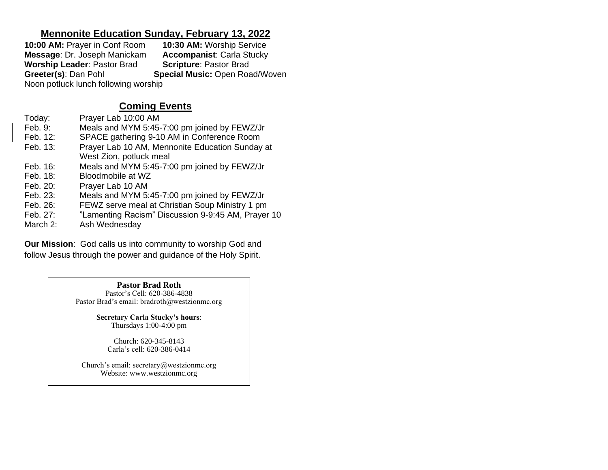## **Mennonite Education Sunday, February 13, 2022**

**10:00 AM:** Prayer in Conf Room **10:30 AM:** Worship Service **Message**: Dr. Joseph Manickam **Accompanist**: Carla Stucky **Worship Leader: Pastor Brad Greeter(s): Dan Pohl Special Music: Open Road/Woven** Noon potluck lunch following worship

# **Coming Events**

| Today:   | Prayer Lab 10:00 AM                                |
|----------|----------------------------------------------------|
| Feb. 9:  | Meals and MYM 5:45-7:00 pm joined by FEWZ/Jr       |
| Feb. 12: | SPACE gathering 9-10 AM in Conference Room         |
| Feb. 13: | Prayer Lab 10 AM, Mennonite Education Sunday at    |
|          | West Zion, potluck meal                            |
| Feb. 16: | Meals and MYM 5:45-7:00 pm joined by FEWZ/Jr       |
| Feb. 18: | Bloodmobile at WZ                                  |
| Feb. 20: | Prayer Lab 10 AM                                   |
| Feb. 23: | Meals and MYM 5:45-7:00 pm joined by FEWZ/Jr       |
| Feb. 26: | FEWZ serve meal at Christian Soup Ministry 1 pm    |
| Feb. 27: | "Lamenting Racism" Discussion 9-9:45 AM, Prayer 10 |
| March 2: | Ash Wednesday                                      |

**Our Mission**: God calls us into community to worship God and follow Jesus through the power and guidance of the Holy Spirit.

> **Pastor Brad Roth** Pastor's Cell: 620-386-4838 Pastor Brad's email: bradroth@westzionmc.org

> > **Secretary Carla Stucky's hours**: Thursdays 1:00-4:00 pm

> > > Church: 620-345-8143 Carla's cell: 620-386-0414

Church's email: secretary@westzionmc.org Website: www.westzionmc.org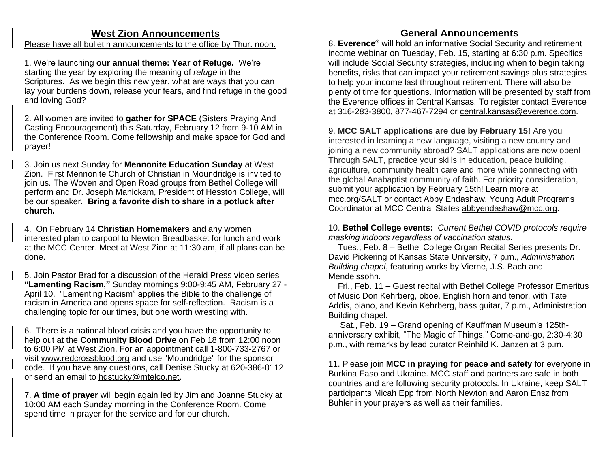## **West Zion Announcements**

#### Please have all bulletin announcements to the office by Thur. noon.

1. We're launching **our annual theme: Year of Refuge.** We're starting the year by exploring the meaning of *refuge* in the Scriptures. As we begin this new year, what are ways that you can lay your burdens down, release your fears, and find refuge in the good and loving God?

2. All women are invited to **gather for SPACE** (Sisters Praying And Casting Encouragement) this Saturday, February 12 from 9-10 AM in the Conference Room. Come fellowship and make space for God and prayer!

3. Join us next Sunday for **Mennonite Education Sunday** at West Zion. First Mennonite Church of Christian in Moundridge is invited to join us. The Woven and Open Road groups from Bethel College will perform and Dr. Joseph Manickam, President of Hesston College, will be our speaker. **Bring a favorite dish to share in a potluck after church.**

4. On February 14 **Christian Homemakers** and any women interested plan to carpool to Newton Breadbasket for lunch and work at the MCC Center. Meet at West Zion at 11:30 am, if all plans can be done.

5. Join Pastor Brad for a discussion of the Herald Press video series **"Lamenting Racism,"** Sunday mornings 9:00-9:45 AM, February 27 - April 10. "Lamenting Racism" applies the Bible to the challenge of racism in America and opens space for self-reflection. Racism is a challenging topic for our times, but one worth wrestling with.

6. There is a national blood crisis and you have the opportunity to help out at the **Community Blood Drive** on Feb 18 from 12:00 noon to 6:00 PM at West Zion. For an appointment call 1-800-733-2767 or visit [www.redcrossblood.org](http://www.redcrossblood.org/) and use "Moundridge" for the sponsor code. If you have any questions, call Denise Stucky at 620-386-0112 or send an email to [hdstucky@mtelco.net.](mailto:hdstucky@mtelco.net)

7. **A time of prayer** will begin again led by Jim and Joanne Stucky at 10:00 AM each Sunday morning in the Conference Room. Come spend time in prayer for the service and for our church.

# **General Announcements**

8. **Everence®** will hold an informative Social Security and retirement income webinar on Tuesday, Feb. 15, starting at 6:30 p.m. Specifics will include Social Security strategies, including when to begin taking benefits, risks that can impact your retirement savings plus strategies to help your income last throughout retirement. There will also be plenty of time for questions. Information will be presented by staff from the Everence offices in Central Kansas. To register contact Everence at 316-283-3800, 877-467-7294 or [central.kansas@everence.com.](mailto:central.kansas@everence.com)

9. **MCC SALT applications are due by February 15!** Are you interested in learning a new language, visiting a new country and joining a new community abroad? SALT applications are now open! Through SALT, practice your skills in education, peace building, agriculture, community health care and more while connecting with the global Anabaptist community of faith. For priority consideration, submit your application by February 15th! Learn more at [mcc.org/SALT](https://mcc.org/get-involved/serve/volunteer/salt) or contact Abby Endashaw, Young Adult Programs Coordinator at MCC Central States [abbyendashaw@mcc.org.](mailto:abbyendashaw@mcc.org)

10. **Bethel College events:** *Current Bethel COVID protocols require masking indoors regardless of vaccination status.*

 Tues., Feb. 8 – Bethel College Organ Recital Series presents Dr. David Pickering of Kansas State University, 7 p.m., *Administration Building chapel*, featuring works by Vierne, J.S. Bach and Mendelssohn.

 Fri., Feb. 11 – Guest recital with Bethel College Professor Emeritus of Music Don Kehrberg, oboe, English horn and tenor, with Tate Addis, piano, and Kevin Kehrberg, bass guitar, 7 p.m., Administration Building chapel.

 Sat., Feb. 19 – Grand opening of Kauffman Museum's 125thanniversary exhibit, "The Magic of Things." Come-and-go, 2:30-4:30 p.m., with remarks by lead curator Reinhild K. Janzen at 3 p.m.

11. Please join **MCC in praying for peace and safety** for everyone in Burkina Faso and Ukraine. MCC staff and partners are safe in both countries and are following security protocols. In Ukraine, keep SALT participants Micah Epp from North Newton and Aaron Ensz from Buhler in your prayers as well as their families.